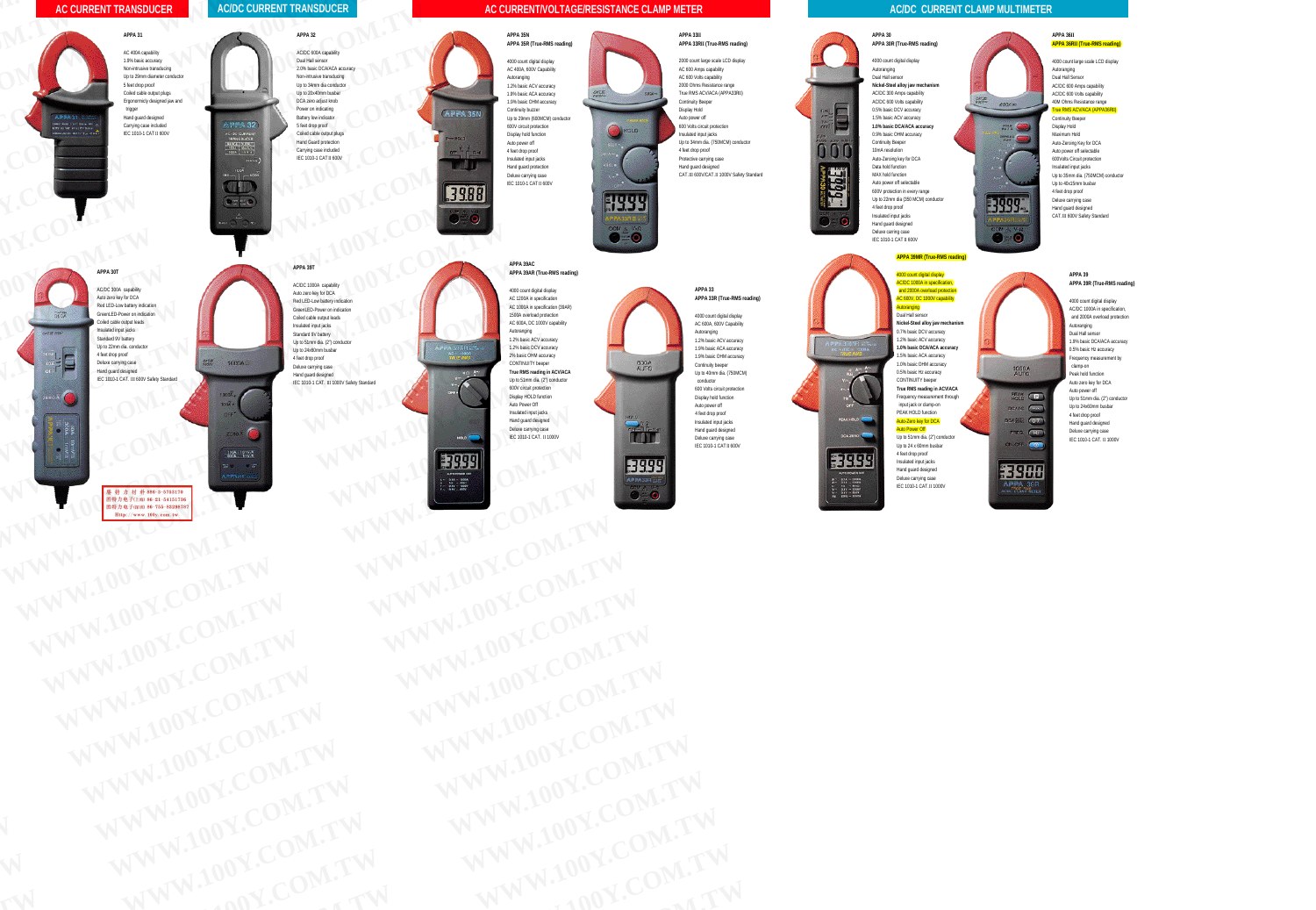#### **AC CURRENT TRANSDUCER**

## **AC/DC CURRENT TRANSDUCER W.100 Y.TRANSDUCER**



#### **APPA 31**

AC 400A capability 1.9% basic accuracy Non-intrusive transducing Up to 29mm diameter conductor 5 feet drop proof Coiled cable output plugs Ergonormicly designed jaw and trigger Hand guard designed Carrying case included IEC 1010-1 CAT II 600V **Example 200**<br>
Carping case included<br>
EC 1010-1 CAT II 600V<br>
COMPLETE COMPLETE AND TRIPPING<br>
COMPLETE COMPLETE AND TRIPPING<br>
COMPLETE COMPLETE AND TRIPPING<br>
COMPLETE AND TRIPPING<br>
COMPLETE AND TRIPPING<br>
COMPLETE AND TRIPPI

# **Y.COM.TW COME**

#### **APPA 32**

AC/DC 600A capability Dual Hall sensor 2.0% basic DCA/ACA accuracy Non-intrusive transducing Up to 34mm dia conductor Up to 20x40mm busbar DCA zero adjust knob Power on indicating Battery low indicator 5 feet drop proof Coiled cable output plugs Hand Guard protection Carrying case included IEC 1010-1 CAT II 600V **W.100**<br> **W.100**<br> **W.100 RANSDUCER**<br>APPA 32<br>ACDC 600A capability<br>Dual Hall sensor the top to 20<sub>0</sub><br>DCA zero<br>Power or Battery to<br>Steet dro **Y.** 600A capability<br>**Yall sensor**<br>Maximation DCA/ACA accuracy<br>20x40mm dia conductor<br>20x40mm busbar<br>ero adjust knob 5 feet drop proof<br>Coiled cable out<br>Hand Guard pro<br>Carrying case in<br>IEC 1010-1 CAT **Yankowing**<br> **Y.Com.**<br> **Y.Com.**<br> **Y.Com.**<br> **Y.Com.**<br> **Y.Com.**<br> **Y.Com.**<br> **Y.Com.**<br> **Y.Com.**<br> **Y.Com.**<br> **Y.Com.**<br> **Y.Com.**<br> **Y.Com. W.100 Yougs**<br>and<br>Your Comments<br>Your Comments

### **APPA 39T** W.100

AC/DC 1000A capability Auto zero key for DCA Red LED-Low battery indication GreenLED-Power on indication Coiled cable output leads Insulated input jacks Standard 9V battery Up to 51mm dia. (2") conductor Up to 24x60mm busbar 4 feet drop proof Deluxe carrying case Hand guard designed IEC 1010-1 CAT. III 1000V Safety Standard **COMMONS**<br>
Wey for DCA<br>
Low battery indication<br>
Explorers **Example 1** and increase the control of the control of the control of the control of the control of the control of the control of the control of the control of the control of the control of the control of the control of th **W.10 Manufacture Standard** 

## $\sqrt{2}$ **W.100**<br> **W.100**<br>
OFF **W.100 W.1000**<br>W.10000<br>W.1000001 1 Huyuna<br>W.10000 1 Huyuna **W.100**

**W.100**

# **APPA 30T Y.COM.TW & COMPANY**

AC/DC 300A capability Auto zero key for DCA Red LED-Low battery indication GreenLED-Power on indication Coiled cable output leads Insulated input jacks Standard 9V battery Up to 22mm dia. conductor 4 feet drop proof Deluxe carrying case Hand guard designed IEC 1010-1 CAT. III 600V Safety Standard **APPA 30T**<br>ACDC 300A capability<br>Auto zero key for DCA<br>and LED-Powartery indication<br>Colled cable output leads **APPA 30T**<br>
ACDC 300A capability<br>
ALCDC 300A capability<br>
Auto zero key for DCA<br>
Red LED-Low battery indication<br>
GreenLED-Power on indication<br>
Colled cable output leads<br>
Insulate difference of the component<br>
Vip to 22mm dia Auto zero key for DCA<br>
Red LED-Low battey indication<br>
Coiled cable output leads<br>
Coiled cable output leads<br>
Insulated input jacks<br>
Standard 9V battery<br>
Up to 22mm dia.com<br>
4 feet drop proof<br>
Pub to 22mm dia.com<br>
4 feet dro Standard 9V batter<br>
Standard 9V batter<br>
Up to 22mm dia. conductor<br>
4 feet drop proof<br>
Deluxe carrying case<br>
Hend guard designed<br>
HEC 1010-1 CAT. III 600V Safety Standard<br>
We be 5 from dia. Composite the drop proof<br>
Peluxe Hand guard designed<br>
IEC 1010-1 CAT. III 600V Safety Standard<br>
Weblack and guard designed<br>
Y.Com and guard cessing Hand guard designed<br>
Y.Com and guard cessing Hand guard cessing<br>
T.C. 1010-1 CAT. III 1000<br>
T.P. 2.<br>
T.P. 2

**Y.COM.TW WW Y.COM.TW WW Y.COM.TW WW W. 100y. com. tw WWW. WWW. WWW. WWW. WWW. WWW. WWW. WWW. WWW. WWW. WWW. WWW. WWW. WWW. WWW. WWW. WWW. WWW. WWW. WWW. WWW. WWW. WWW. WWW. WWW. WWW. WWW. WWW. WWW.**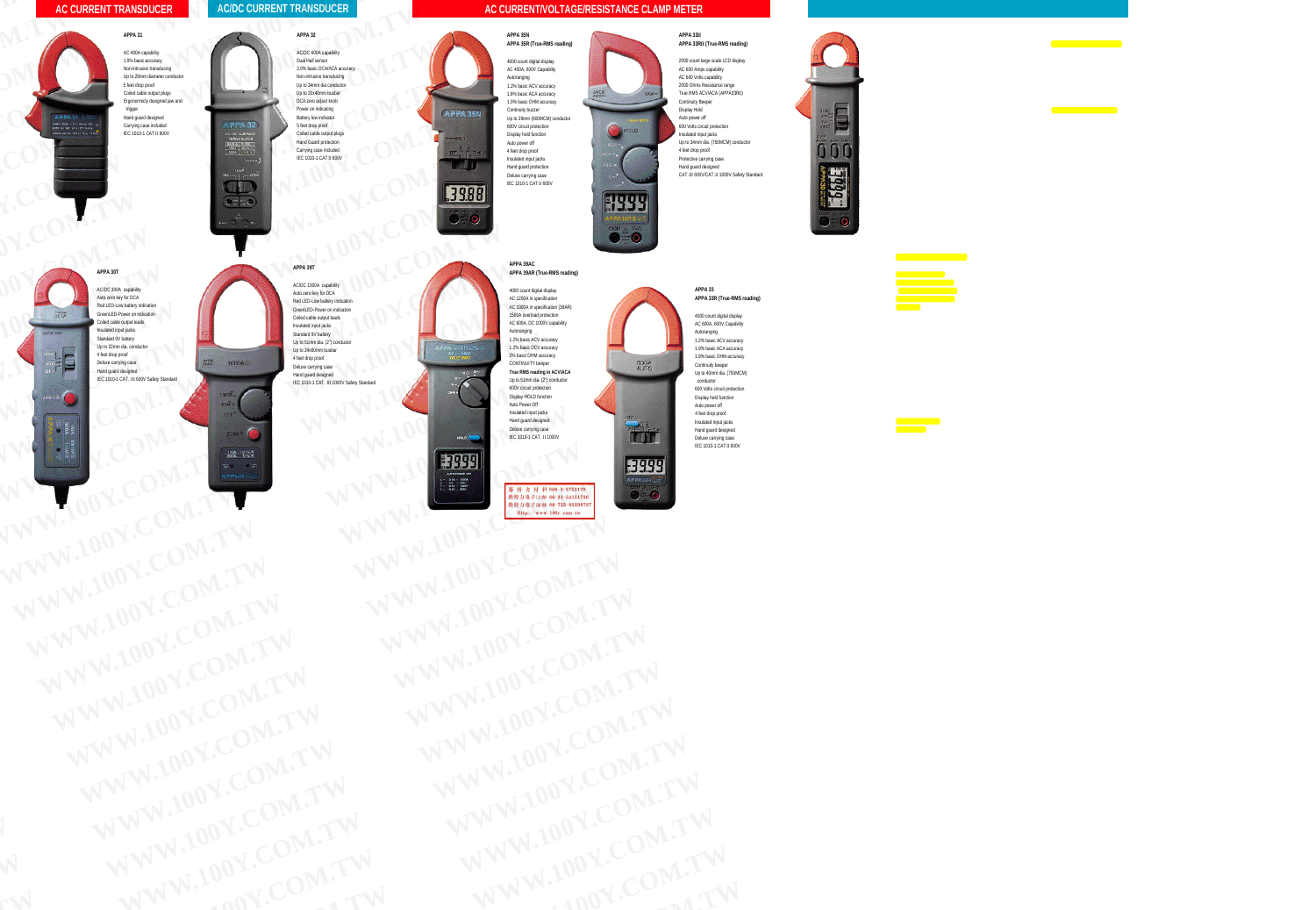#### **AC CURRENT/VOLTAGE/RESISTANCE CLAMP METER**



**W.100**

**W.100**

**W.100**

**W.100**

**APPA 35N APPA 35R (True-RMS reading)**

4000 count digital display AC 400A, 600V Capability Autoranging 1.2% basic ACV accuracy 1.9% basic ACA accuracy 1.9% basic OHM accuracy Continuity buzzer Up to 29mm (600MCM) conductor 600V circuit protection Display hold function Auto power off 4 feet drop proof Insulated input jacks Hand guard protection Deluxe carrying case IEC 1010-1 CAT II 600V



#### **APPA 33II APPA 33RII (True-RMS reading)**

2000 count large scale LCD display AC 600 Amps capability AC 600 Volts capability 2000 Ohms Resistance range True RMS ACV/ACA (APPA33RII ) Continuity Beeper Display Hold Auto power off 600 Volts circuit protection Insulated input jacks Up to 34mm dia. (750MCM) conductor 4 feet drop proof Protective carrying case Hand guard designed CAT. III 600V/CAT. II 1000V Safety Standard

#### **APPA 39AC APPA 39AR (True-RMS reading)**

4000 count digital display AC 1200A in specification AC 1000A in specification (39AR) 1500A overload protection AC 600A, DC 1000V capability Autoranging 1.2% basic ACV accuracy 1.2% basic DCV accuracy 2% basic OHM accuracy CONTINUITY beeper **True RMS reading in ACV/ACA** Up to 51mm dia. (2") conductor 600V circuit protection Display HOLD function Auto Power Off Insulated input jacks Hand guard designed Deluxe carrying case IEC 1010-1 CAT. II 1000V APP AC 12004 is<br>
AC 6004, D<br>
Max + 5004 over<br>
APPA 33AR - The Max + 22% basic<br>
The Max + 22% basic<br>
The Max + 2% basic<br>
The Max + 2% basic<br>
The Max + 2% basic<br>
The Max + 2% basic<br>
The Max + 2% basic<br>
The Max + 2% basic<br>
The Ma **Y.Com A. S. S. A. P. A. S. S. A. P. A. S. S. A. P. A. S. S. A. P. A. S. S. A. P. A. S. S. A. P. A. S. S. CONTINUITY Begins and CONTINUITY CONTINUITY CONTINUES.**<br>
The RMS reading<br>
Up to 51mm dia, (2)<br>
Up to 51mm dia, (2)<br> True RMS reading in AC<br>
V<sub>T</sub><br>
Up to Strim dia. (2) condition<br>
600V circuit protection<br>
600V circuit protection<br>
Display HOLD function<br>
Hand guard designed<br>
Hand guard designed<br>
Deluxe carrying case *Insulated input jacks*<br> *Y.Com. 2* **Property and grad designed<br>
Deluxe carrying case<br>
IEC 1010-1 CAT. II 1000V<br>
<b>FOLOGER** 

**Y.COM.TW** *W. March 2004 March 40 March 40 March 40 March 40 March 40 March 40 March 40 March 40 March 40 March 40 March 40 March 40 March 40 March 40 March 40 March 40 March 40 March 40 March 40 March 40 March 40 March 40 March* 



#### **APPA 33 APPA 33R (True-RMS reading)**

4000 count digital display AC 600A, 600V Capability Autoranging 1.2% basic ACV accuracy 1.9% basic ACA accuracy 1.9% basic OHM accuracy Continuity beeper Up to 40mm dia. (750MCM) conductor 600 Volts circuit protection Display hold function Auto power off 4 feet drop proof Insulated input jacks Hand guard designed Deluxe carrying case IEC 1010-1 CAT II 600V